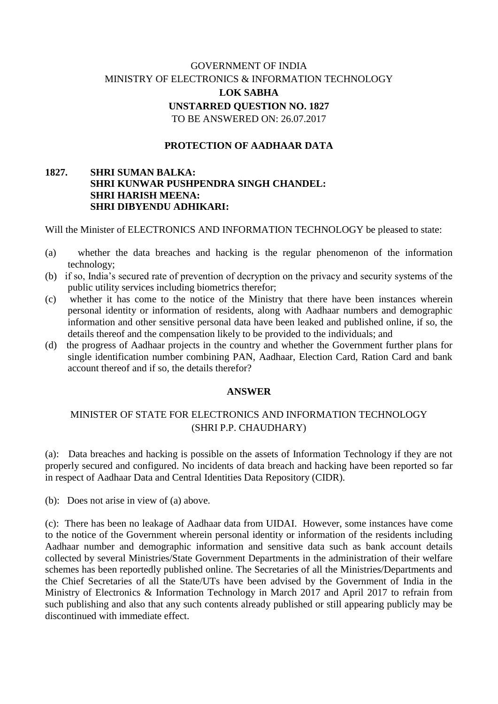# GOVERNMENT OF INDIA MINISTRY OF ELECTRONICS & INFORMATION TECHNOLOGY **LOK SABHA UNSTARRED QUESTION NO. 1827** TO BE ANSWERED ON: 26.07.2017

### **PROTECTION OF AADHAAR DATA**

#### **1827. SHRI SUMAN BALKA: SHRI KUNWAR PUSHPENDRA SINGH CHANDEL: SHRI HARISH MEENA: SHRI DIBYENDU ADHIKARI:**

Will the Minister of ELECTRONICS AND INFORMATION TECHNOLOGY be pleased to state:

- (a) whether the data breaches and hacking is the regular phenomenon of the information technology;
- (b) if so, India's secured rate of prevention of decryption on the privacy and security systems of the public utility services including biometrics therefor;
- (c) whether it has come to the notice of the Ministry that there have been instances wherein personal identity or information of residents, along with Aadhaar numbers and demographic information and other sensitive personal data have been leaked and published online, if so, the details thereof and the compensation likely to be provided to the individuals; and
- (d) the progress of Aadhaar projects in the country and whether the Government further plans for single identification number combining PAN, Aadhaar, Election Card, Ration Card and bank account thereof and if so, the details therefor?

#### **ANSWER**

## MINISTER OF STATE FOR ELECTRONICS AND INFORMATION TECHNOLOGY (SHRI P.P. CHAUDHARY)

(a): Data breaches and hacking is possible on the assets of Information Technology if they are not properly secured and configured. No incidents of data breach and hacking have been reported so far in respect of Aadhaar Data and Central Identities Data Repository (CIDR).

(b): Does not arise in view of (a) above.

(c): There has been no leakage of Aadhaar data from UIDAI. However, some instances have come to the notice of the Government wherein personal identity or information of the residents including Aadhaar number and demographic information and sensitive data such as bank account details collected by several Ministries/State Government Departments in the administration of their welfare schemes has been reportedly published online. The Secretaries of all the Ministries/Departments and the Chief Secretaries of all the State/UTs have been advised by the Government of India in the Ministry of Electronics & Information Technology in March 2017 and April 2017 to refrain from such publishing and also that any such contents already published or still appearing publicly may be discontinued with immediate effect.